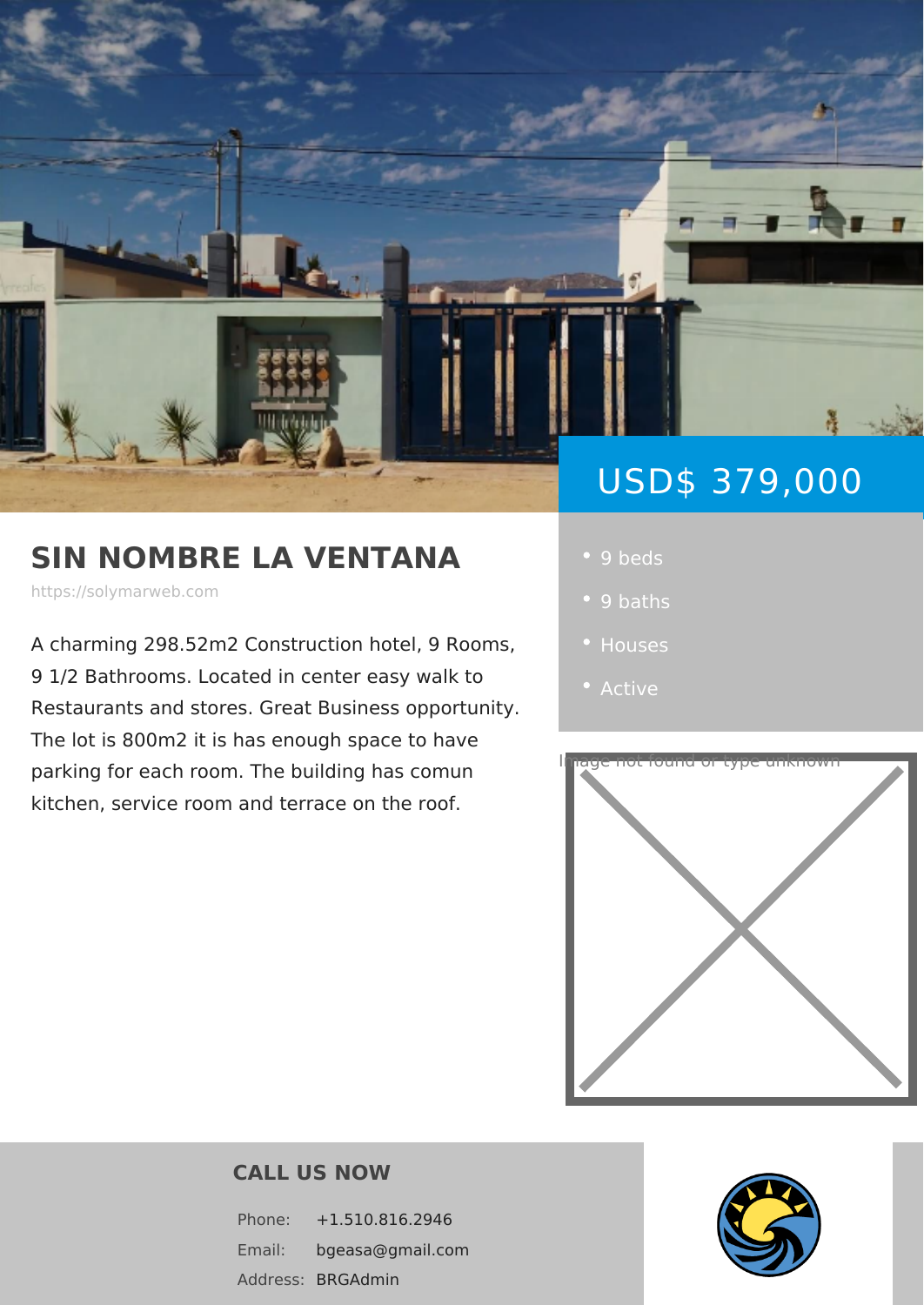# USD\$ 379,0

# SIN NOMBRE LA VENTAN · 9 beds

https://solymarweb.com

A charming 298.52m2 Construction hote . Houses 9 1/2 Bathrooms. Located in center eas Restaurants and stores. Great Business

The lot is 800m2 it is has enough space to have parking for each room. The building has kitchen, service room and terrace on the roof

- 
- 
- 
- 



#### CALL US NOW

Phone: +1.510.816.2946 Email: bgeasa@gmail.com Addres**SBRGAdmin**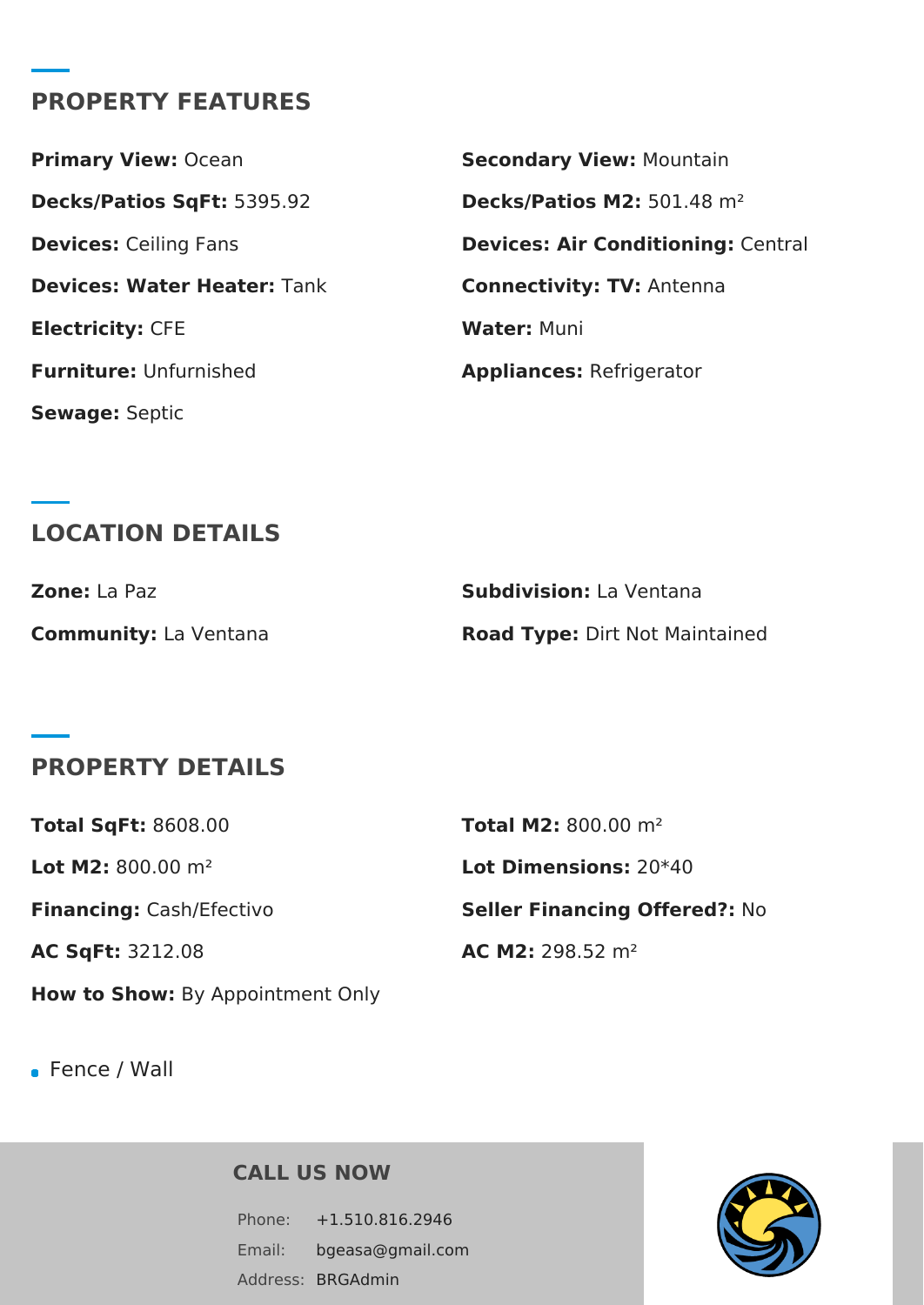## **PROPERTY FEATURES**

**Decks/Patios SqFt:** 5395.92 **Decks/Patios M2:** 501.48 m² **Devices: Water Heater: Tank <b>Connectivity: TV:** Antenna **Electricity: CFE Water: Muni Furniture:** Unfurnished **Appliances:** Refrigerator **Sewage:** Septic

**Primary View: Ocean <b>Secondary View:** Mountain **Devices:** Ceiling Fans **Devices: Air Conditioning:** Central

# **LOCATION DETAILS**

| <b>Zone:</b> La Paz          | <b>Subdivision:</b> La Ventana        |
|------------------------------|---------------------------------------|
| <b>Community:</b> La Ventana | <b>Road Type: Dirt Not Maintained</b> |

### **PROPERTY DETAILS**

| <b>Total SgFt: 8608.00</b>              | <b>Total M2:</b> 800.00 $m^2$        |
|-----------------------------------------|--------------------------------------|
| Lot M2: $800.00 \text{ m}^2$            | <b>Lot Dimensions: 20*40</b>         |
| Financing: Cash/Efectivo                | <b>Seller Financing Offered?: No</b> |
| <b>AC SqFt: 3212.08</b>                 | AC M2: 298.52 $m2$                   |
| <b>How to Show:</b> By Appointment Only |                                      |

Fence / Wall

**CALL US NOW**

Phone: +1.510.816.2946 Email: bgeasa@gmail.com Address: BRGAdmin